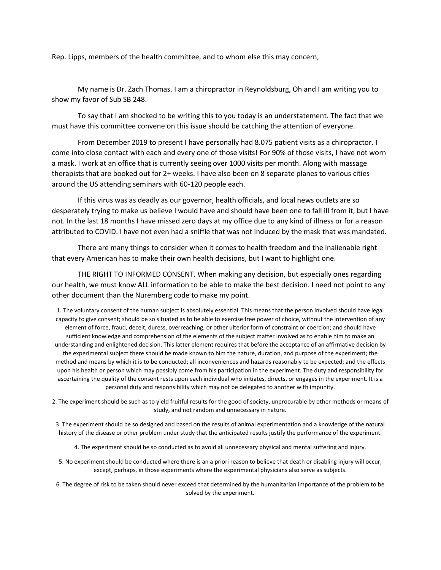Rep. Lipps, members of the health committee, and to whom else this may concern,

My name is Dr. Zach Thomas. I am a chiropractor in Reynoldsburg, Oh and I am writing you to show my favor of Sub SB 248.

To say that I am shocked to be writing this to you today is an understatement. The fact that we must have this committee convene on this issue should be catching the attention of everyone.

From December 2019 to present I have personally had 8.075 patient visits as a chiropractor. I come into close contact with each and every one of those visits! For 90% of those visits, I have not worn a mask. I work at an office that is currently seeing over 1000 visits per month. Along with massage therapists that are booked out for 2+ weeks. I have also been on 8 separate planes to various cities around the US attending seminars with 60-120 people each.

If this virus was as deadly as our governor, health officials, and local news outlets are so desperately trying to make us believe I would have and should have been one to fall ill from it, but I have not. In the last 18 months I have missed zero days at my office due to any kind of illness or for a reason attributed to COVID. I have not even had a sniffle that was not induced by the mask that was mandated.

There are many things to consider when it comes to health freedom and the inalienable right that every American has to make their own health decisions, but I want to highlight one.

THE RIGHT TO INFORMED CONSENT. When making any decision, but especially ones regarding our health, we must know ALL information to be able to make the best decision. I need not point to any other document than the Nuremberg code to make my point.

1. The voluntary consent of the human subject is absolutely essential. This means that the person involved should have legal capacity to give consent; should be so situated as to be able to exercise free power of choice, without the intervention of any element of force, fraud, deceit, duress, overreaching, or other ulterior form of constraint or coercion; and should have sufficient knowledge and comprehension of the elements of the subject matter involved as to enable him to make an understanding and enlightened decision. This latter element requires that before the acceptance of an affirmative decision by the experimental subject there should be made known to him the nature, duration, and purpose of the experiment; the method and means by which it is to be conducted; all inconveniences and hazards reasonably to be expected; and the effects upon his health or person which may possibly come from his participation in the experiment. The duty and responsibility for ascertaining the quality of the consent rests upon each individual who initiates, directs, or engages in the experiment. It is a personal duty and responsibility which may not be delegated to another with impunity.

2. The experiment should be such as to yield fruitful results for the good of society, unprocurable by other methods or means of study, and not random and unnecessary in nature.

3. The experiment should be so designed and based on the results of animal experimentation and a knowledge of the natural history of the disease or other problem under study that the anticipated results justify the performance of the experiment.

4. The experiment should be so conducted as to avoid all unnecessary physical and mental suffering and injury.

5. No experiment should be conducted where there is an a priori reason to believe that death or disabling injury will occur; except, perhaps, in those experiments where the experimental physicians also serve as subjects.

6. The degree of risk to be taken should never exceed that determined by the humanitarian importance of the problem to be solved by the experiment.